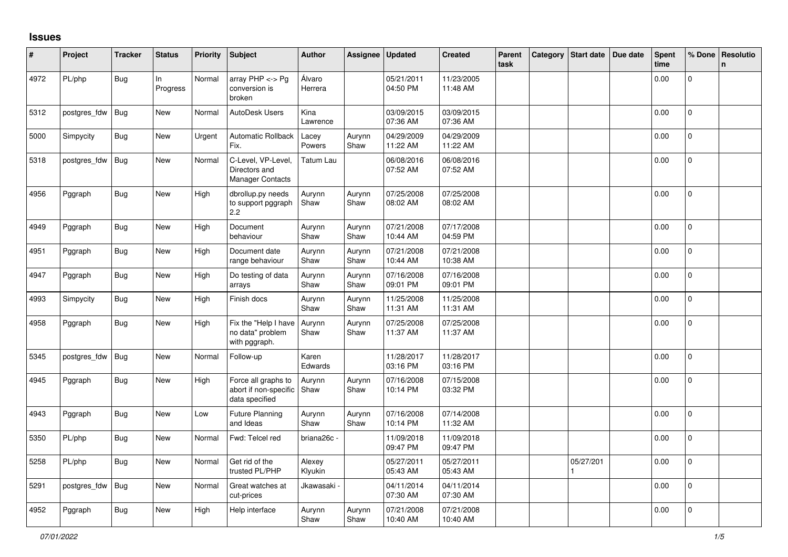## **Issues**

| #    | Project      | <b>Tracker</b> | <b>Status</b>  | <b>Priority</b> | <b>Subject</b>                                                 | <b>Author</b>     | Assignee       | <b>Updated</b>         | <b>Created</b>         | Parent<br>task | Category Start date | Due date | <b>Spent</b><br>time | % Done       | Resolutio<br>n |
|------|--------------|----------------|----------------|-----------------|----------------------------------------------------------------|-------------------|----------------|------------------------|------------------------|----------------|---------------------|----------|----------------------|--------------|----------------|
| 4972 | PL/php       | <b>Bug</b>     | In<br>Progress | Normal          | array PHP <-> Pg<br>conversion is<br>broken                    | Álvaro<br>Herrera |                | 05/21/2011<br>04:50 PM | 11/23/2005<br>11:48 AM |                |                     |          | 0.00                 | $\mathbf 0$  |                |
| 5312 | postgres fdw | Bug            | New            | Normal          | <b>AutoDesk Users</b>                                          | Kina<br>Lawrence  |                | 03/09/2015<br>07:36 AM | 03/09/2015<br>07:36 AM |                |                     |          | 0.00                 | $\Omega$     |                |
| 5000 | Simpycity    | <b>Bug</b>     | New            | Urgent          | Automatic Rollback<br>Fix.                                     | Lacey<br>Powers   | Aurynn<br>Shaw | 04/29/2009<br>11:22 AM | 04/29/2009<br>11:22 AM |                |                     |          | 0.00                 | $\Omega$     |                |
| 5318 | postgres_fdw | <b>Bug</b>     | New            | Normal          | C-Level, VP-Level,<br>Directors and<br><b>Manager Contacts</b> | Tatum Lau         |                | 06/08/2016<br>07:52 AM | 06/08/2016<br>07:52 AM |                |                     |          | 0.00                 | $\pmb{0}$    |                |
| 4956 | Pggraph      | <b>Bug</b>     | <b>New</b>     | High            | dbrollup.py needs<br>to support pggraph<br>2.2                 | Aurynn<br>Shaw    | Aurynn<br>Shaw | 07/25/2008<br>08:02 AM | 07/25/2008<br>08:02 AM |                |                     |          | 0.00                 | $\Omega$     |                |
| 4949 | Pggraph      | <b>Bug</b>     | New            | High            | Document<br>behaviour                                          | Aurynn<br>Shaw    | Aurynn<br>Shaw | 07/21/2008<br>10:44 AM | 07/17/2008<br>04:59 PM |                |                     |          | 0.00                 | $\mathbf 0$  |                |
| 4951 | Pggraph      | <b>Bug</b>     | <b>New</b>     | High            | Document date<br>range behaviour                               | Aurynn<br>Shaw    | Aurynn<br>Shaw | 07/21/2008<br>10:44 AM | 07/21/2008<br>10:38 AM |                |                     |          | 0.00                 | $\Omega$     |                |
| 4947 | Pggraph      | Bug            | New            | High            | Do testing of data<br>arrays                                   | Aurynn<br>Shaw    | Aurynn<br>Shaw | 07/16/2008<br>09:01 PM | 07/16/2008<br>09:01 PM |                |                     |          | 0.00                 | $\mathbf{0}$ |                |
| 4993 | Simpycity    | <b>Bug</b>     | <b>New</b>     | High            | Finish docs                                                    | Aurynn<br>Shaw    | Aurynn<br>Shaw | 11/25/2008<br>11:31 AM | 11/25/2008<br>11:31 AM |                |                     |          | 0.00                 | $\mathbf{0}$ |                |
| 4958 | Pggraph      | <b>Bug</b>     | <b>New</b>     | High            | Fix the "Help I have<br>no data" problem<br>with pggraph.      | Aurynn<br>Shaw    | Aurynn<br>Shaw | 07/25/2008<br>11:37 AM | 07/25/2008<br>11:37 AM |                |                     |          | 0.00                 | $\Omega$     |                |
| 5345 | postgres_fdw | Bug            | New            | Normal          | Follow-up                                                      | Karen<br>Edwards  |                | 11/28/2017<br>03:16 PM | 11/28/2017<br>03:16 PM |                |                     |          | 0.00                 | $\mathbf 0$  |                |
| 4945 | Pggraph      | <b>Bug</b>     | <b>New</b>     | High            | Force all graphs to<br>abort if non-specific<br>data specified | Aurynn<br>Shaw    | Aurynn<br>Shaw | 07/16/2008<br>10:14 PM | 07/15/2008<br>03:32 PM |                |                     |          | 0.00                 | $\Omega$     |                |
| 4943 | Pggraph      | Bug            | New            | Low             | <b>Future Planning</b><br>and Ideas                            | Aurynn<br>Shaw    | Aurynn<br>Shaw | 07/16/2008<br>10:14 PM | 07/14/2008<br>11:32 AM |                |                     |          | 0.00                 | $\mathbf 0$  |                |
| 5350 | PL/php       | <b>Bug</b>     | New            | Normal          | Fwd: Telcel red                                                | briana26c -       |                | 11/09/2018<br>09:47 PM | 11/09/2018<br>09:47 PM |                |                     |          | 0.00                 | $\mathbf 0$  |                |
| 5258 | PL/php       | <b>Bug</b>     | <b>New</b>     | Normal          | Get rid of the<br>trusted PL/PHP                               | Alexey<br>Klyukin |                | 05/27/2011<br>05:43 AM | 05/27/2011<br>05:43 AM |                | 05/27/201           |          | 0.00                 | $\Omega$     |                |
| 5291 | postgres_fdw | Bug            | New            | Normal          | Great watches at<br>cut-prices                                 | Jkawasaki -       |                | 04/11/2014<br>07:30 AM | 04/11/2014<br>07:30 AM |                |                     |          | 0.00                 | $\mathbf 0$  |                |
| 4952 | Pggraph      | <b>Bug</b>     | New            | High            | Help interface                                                 | Aurynn<br>Shaw    | Aurynn<br>Shaw | 07/21/2008<br>10:40 AM | 07/21/2008<br>10:40 AM |                |                     |          | 0.00                 | $\mathbf{0}$ |                |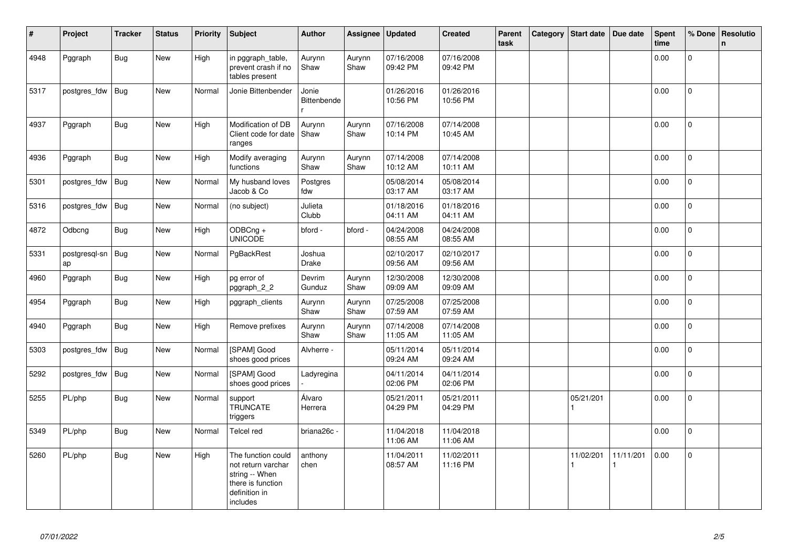| $\pmb{\sharp}$ | Project             | <b>Tracker</b> | <b>Status</b> | <b>Priority</b> | Subject                                                                                                      | <b>Author</b>          | Assignee       | <b>Updated</b>         | <b>Created</b>         | Parent<br>task | Category | Start date     | Due date  | <b>Spent</b><br>time | % Done         | Resolutio<br>$\mathsf{n}$ |
|----------------|---------------------|----------------|---------------|-----------------|--------------------------------------------------------------------------------------------------------------|------------------------|----------------|------------------------|------------------------|----------------|----------|----------------|-----------|----------------------|----------------|---------------------------|
| 4948           | Pggraph             | <b>Bug</b>     | New           | High            | in pggraph_table,<br>prevent crash if no<br>tables present                                                   | Aurynn<br>Shaw         | Aurynn<br>Shaw | 07/16/2008<br>09:42 PM | 07/16/2008<br>09:42 PM |                |          |                |           | 0.00                 | $\mathbf 0$    |                           |
| 5317           | postgres_fdw        | <b>Bug</b>     | <b>New</b>    | Normal          | Jonie Bittenbender                                                                                           | Jonie<br>Bittenbende   |                | 01/26/2016<br>10:56 PM | 01/26/2016<br>10:56 PM |                |          |                |           | 0.00                 | $\Omega$       |                           |
| 4937           | Pggraph             | <b>Bug</b>     | New           | High            | Modification of DB<br>Client code for date<br>ranges                                                         | Aurynn<br>Shaw         | Aurynn<br>Shaw | 07/16/2008<br>10:14 PM | 07/14/2008<br>10:45 AM |                |          |                |           | 0.00                 | $\Omega$       |                           |
| 4936           | Pggraph             | <b>Bug</b>     | New           | High            | Modify averaging<br>functions                                                                                | Aurynn<br>Shaw         | Aurynn<br>Shaw | 07/14/2008<br>10:12 AM | 07/14/2008<br>10:11 AM |                |          |                |           | 0.00                 | 0              |                           |
| 5301           | postgres_fdw        | <b>Bug</b>     | New           | Normal          | My husband loves<br>Jacob & Co                                                                               | Postgres<br>fdw        |                | 05/08/2014<br>03:17 AM | 05/08/2014<br>03:17 AM |                |          |                |           | 0.00                 | 0              |                           |
| 5316           | postgres_fdw        | <b>Bug</b>     | New           | Normal          | (no subject)                                                                                                 | Julieta<br>Clubb       |                | 01/18/2016<br>04:11 AM | 01/18/2016<br>04:11 AM |                |          |                |           | 0.00                 | $\mathbf 0$    |                           |
| 4872           | Odbcng              | Bug            | New           | High            | ODBCng +<br><b>UNICODE</b>                                                                                   | bford -                | bford -        | 04/24/2008<br>08:55 AM | 04/24/2008<br>08:55 AM |                |          |                |           | 0.00                 | $\mathbf 0$    |                           |
| 5331           | postgresql-sn<br>ap | Bug            | New           | Normal          | PgBackRest                                                                                                   | Joshua<br><b>Drake</b> |                | 02/10/2017<br>09:56 AM | 02/10/2017<br>09:56 AM |                |          |                |           | 0.00                 | $\overline{0}$ |                           |
| 4960           | Pggraph             | Bug            | New           | High            | pg error of<br>pggraph 2 2                                                                                   | Devrim<br>Gunduz       | Aurynn<br>Shaw | 12/30/2008<br>09:09 AM | 12/30/2008<br>09:09 AM |                |          |                |           | 0.00                 | $\Omega$       |                           |
| 4954           | Pggraph             | <b>Bug</b>     | New           | High            | pggraph_clients                                                                                              | Aurynn<br>Shaw         | Aurynn<br>Shaw | 07/25/2008<br>07:59 AM | 07/25/2008<br>07:59 AM |                |          |                |           | 0.00                 | $\Omega$       |                           |
| 4940           | Pggraph             | <b>Bug</b>     | New           | High            | Remove prefixes                                                                                              | Aurynn<br>Shaw         | Aurynn<br>Shaw | 07/14/2008<br>11:05 AM | 07/14/2008<br>11:05 AM |                |          |                |           | 0.00                 | $\overline{0}$ |                           |
| 5303           | postgres_fdw        | <b>Bug</b>     | New           | Normal          | [SPAM] Good<br>shoes good prices                                                                             | Alvherre -             |                | 05/11/2014<br>09:24 AM | 05/11/2014<br>09:24 AM |                |          |                |           | 0.00                 | 0              |                           |
| 5292           | postgres_fdw        | <b>Bug</b>     | <b>New</b>    | Normal          | [SPAM] Good<br>shoes good prices                                                                             | Ladyregina             |                | 04/11/2014<br>02:06 PM | 04/11/2014<br>02:06 PM |                |          |                |           | 0.00                 | $\Omega$       |                           |
| 5255           | PL/php              | <b>Bug</b>     | New           | Normal          | support<br><b>TRUNCATE</b><br>triggers                                                                       | Álvaro<br>Herrera      |                | 05/21/2011<br>04:29 PM | 05/21/2011<br>04:29 PM |                |          | 05/21/201      |           | 0.00                 | $\mathbf 0$    |                           |
| 5349           | PL/php              | <b>Bug</b>     | <b>New</b>    | Normal          | Telcel red                                                                                                   | briana26c -            |                | 11/04/2018<br>11:06 AM | 11/04/2018<br>11:06 AM |                |          |                |           | 0.00                 | $\mathbf 0$    |                           |
| 5260           | PL/php              | <b>Bug</b>     | New           | High            | The function could<br>not return varchar<br>string -- When<br>there is function<br>definition in<br>includes | anthony<br>chen        |                | 11/04/2011<br>08:57 AM | 11/02/2011<br>11:16 PM |                |          | 11/02/201<br>1 | 11/11/201 | 0.00                 | $\mathbf 0$    |                           |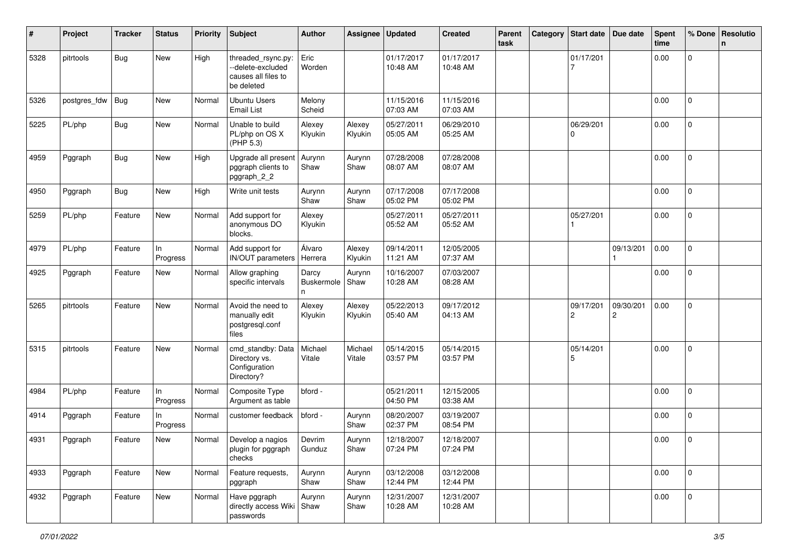| #    | Project      | <b>Tracker</b> | <b>Status</b>  | <b>Priority</b> | <b>Subject</b>                                                               | <b>Author</b>            | Assignee          | <b>Updated</b>         | <b>Created</b>         | Parent<br>task | Category | <b>Start date</b>           | Due date                             | <b>Spent</b><br>time | % Done              | Resolutio<br>$\mathbf n$ |
|------|--------------|----------------|----------------|-----------------|------------------------------------------------------------------------------|--------------------------|-------------------|------------------------|------------------------|----------------|----------|-----------------------------|--------------------------------------|----------------------|---------------------|--------------------------|
| 5328 | pitrtools    | <b>Bug</b>     | New            | High            | threaded_rsync.py:<br>--delete-excluded<br>causes all files to<br>be deleted | Eric<br>Worden           |                   | 01/17/2017<br>10:48 AM | 01/17/2017<br>10:48 AM |                |          | 01/17/201<br>$\overline{7}$ |                                      | 0.00                 | 0                   |                          |
| 5326 | postgres_fdw | Bug            | New            | Normal          | <b>Ubuntu Users</b><br><b>Email List</b>                                     | Melony<br>Scheid         |                   | 11/15/2016<br>07:03 AM | 11/15/2016<br>07:03 AM |                |          |                             |                                      | 0.00                 | $\mathbf{0}$        |                          |
| 5225 | PL/php       | <b>Bug</b>     | New            | Normal          | Unable to build<br>PL/php on OS X<br>(PHP 5.3)                               | Alexey<br>Klyukin        | Alexey<br>Klyukin | 05/27/2011<br>05:05 AM | 06/29/2010<br>05:25 AM |                |          | 06/29/201<br>0              |                                      | 0.00                 | $\mathbf 0$         |                          |
| 4959 | Pggraph      | <b>Bug</b>     | New            | High            | Upgrade all present<br>pggraph clients to<br>pggraph_2_2                     | Aurynn<br>Shaw           | Aurynn<br>Shaw    | 07/28/2008<br>08:07 AM | 07/28/2008<br>08:07 AM |                |          |                             |                                      | 0.00                 | 0                   |                          |
| 4950 | Pggraph      | <b>Bug</b>     | New            | High            | Write unit tests                                                             | Aurynn<br>Shaw           | Aurynn<br>Shaw    | 07/17/2008<br>05:02 PM | 07/17/2008<br>05:02 PM |                |          |                             |                                      | 0.00                 | $\mathbf 0$         |                          |
| 5259 | PL/php       | Feature        | New            | Normal          | Add support for<br>anonymous DO<br>blocks.                                   | Alexey<br>Klyukin        |                   | 05/27/2011<br>05:52 AM | 05/27/2011<br>05:52 AM |                |          | 05/27/201                   |                                      | 0.00                 | $\mathbf{0}$        |                          |
| 4979 | PL/php       | Feature        | In<br>Progress | Normal          | Add support for<br>IN/OUT parameters                                         | Álvaro<br>Herrera        | Alexey<br>Klyukin | 09/14/2011<br>11:21 AM | 12/05/2005<br>07:37 AM |                |          |                             | 09/13/201                            | 0.00                 | $\mathbf 0$         |                          |
| 4925 | Pggraph      | Feature        | New            | Normal          | Allow graphing<br>specific intervals                                         | Darcy<br>Buskermole<br>n | Aurynn<br>Shaw    | 10/16/2007<br>10:28 AM | 07/03/2007<br>08:28 AM |                |          |                             |                                      | 0.00                 | 0                   |                          |
| 5265 | pitrtools    | Feature        | New            | Normal          | Avoid the need to<br>manually edit<br>postgresql.conf<br>files               | Alexey<br>Klyukin        | Alexey<br>Klyukin | 05/22/2013<br>05:40 AM | 09/17/2012<br>04:13 AM |                |          | 09/17/201<br>$\overline{c}$ | 09/30/201<br>$\overline{\mathbf{c}}$ | 0.00                 | $\mathbf{0}$        |                          |
| 5315 | pitrtools    | Feature        | New            | Normal          | cmd_standby: Data<br>Directory vs.<br>Configuration<br>Directory?            | Michael<br>Vitale        | Michael<br>Vitale | 05/14/2015<br>03:57 PM | 05/14/2015<br>03:57 PM |                |          | 05/14/201<br>5              |                                      | 0.00                 | $\overline{0}$      |                          |
| 4984 | PL/php       | Feature        | In<br>Progress | Normal          | Composite Type<br>Argument as table                                          | bford -                  |                   | 05/21/2011<br>04:50 PM | 12/15/2005<br>03:38 AM |                |          |                             |                                      | 0.00                 | 0                   |                          |
| 4914 | Pggraph      | Feature        | In<br>Progress | Normal          | customer feedback                                                            | bford -                  | Aurynn<br>Shaw    | 08/20/2007<br>02:37 PM | 03/19/2007<br>08:54 PM |                |          |                             |                                      | 0.00                 | $\mathbf 0$         |                          |
| 4931 | Pggraph      | Feature        | New            | Normal          | Develop a nagios<br>plugin for pggraph<br>checks                             | Devrim<br>Gunduz         | Aurynn<br>Shaw    | 12/18/2007<br>07:24 PM | 12/18/2007<br>07:24 PM |                |          |                             |                                      | 0.00                 | 0                   |                          |
| 4933 | Pggraph      | Feature        | New            | Normal          | Feature requests,<br>pggraph                                                 | Aurynn<br>Shaw           | Aurynn<br>Shaw    | 03/12/2008<br>12:44 PM | 03/12/2008<br>12:44 PM |                |          |                             |                                      | 0.00                 | $\mathsf{O}\xspace$ |                          |
| 4932 | Pggraph      | Feature        | New            | Normal          | Have pggraph<br>directly access Wiki Shaw<br>passwords                       | Aurynn                   | Aurynn<br>Shaw    | 12/31/2007<br>10:28 AM | 12/31/2007<br>10:28 AM |                |          |                             |                                      | 0.00                 | $\mathbf 0$         |                          |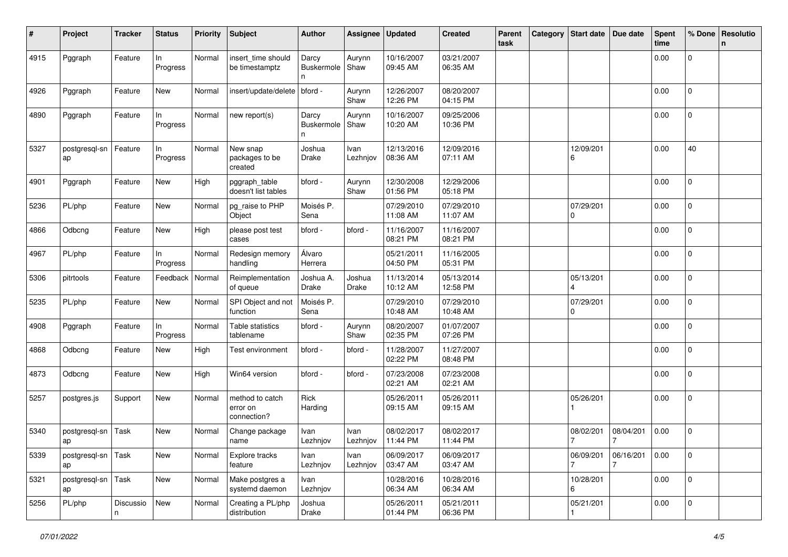| #    | Project             | <b>Tracker</b> | <b>Status</b>     | <b>Priority</b> | <b>Subject</b>                             | <b>Author</b>            | Assignee               | <b>Updated</b>         | <b>Created</b>         | Parent<br>task | Category | <b>Start date</b>     | Due date                    | Spent<br>time | % Done              | Resolutio<br>n |
|------|---------------------|----------------|-------------------|-----------------|--------------------------------------------|--------------------------|------------------------|------------------------|------------------------|----------------|----------|-----------------------|-----------------------------|---------------|---------------------|----------------|
| 4915 | Pggraph             | Feature        | In<br>Progress    | Normal          | insert time should<br>be timestamptz       | Darcy<br>Buskermole<br>n | Aurynn<br>Shaw         | 10/16/2007<br>09:45 AM | 03/21/2007<br>06:35 AM |                |          |                       |                             | 0.00          | 0                   |                |
| 4926 | Pggraph             | Feature        | New               | Normal          | insert/update/delete                       | bford -                  | Aurynn<br>Shaw         | 12/26/2007<br>12:26 PM | 08/20/2007<br>04:15 PM |                |          |                       |                             | 0.00          | $\mathbf 0$         |                |
| 4890 | Pggraph             | Feature        | In<br>Progress    | Normal          | new report(s)                              | Darcy<br>Buskermole<br>n | Aurynn<br>Shaw         | 10/16/2007<br>10:20 AM | 09/25/2006<br>10:36 PM |                |          |                       |                             | 0.00          | $\mathbf 0$         |                |
| 5327 | postgresql-sn<br>ap | Feature        | In<br>Progress    | Normal          | New snap<br>packages to be<br>created      | Joshua<br>Drake          | Ivan<br>Lezhnjov       | 12/13/2016<br>08:36 AM | 12/09/2016<br>07:11 AM |                |          | 12/09/201<br>6        |                             | 0.00          | 40                  |                |
| 4901 | Pggraph             | Feature        | New               | High            | pggraph_table<br>doesn't list tables       | bford -                  | Aurynn<br>Shaw         | 12/30/2008<br>01:56 PM | 12/29/2006<br>05:18 PM |                |          |                       |                             | 0.00          | $\mathbf{0}$        |                |
| 5236 | PL/php              | Feature        | New               | Normal          | pg_raise to PHP<br>Object                  | Moisés P.<br>Sena        |                        | 07/29/2010<br>11:08 AM | 07/29/2010<br>11:07 AM |                |          | 07/29/201<br>0        |                             | 0.00          | 0                   |                |
| 4866 | Odbcng              | Feature        | New               | High            | please post test<br>cases                  | bford -                  | bford -                | 11/16/2007<br>08:21 PM | 11/16/2007<br>08:21 PM |                |          |                       |                             | 0.00          | 0                   |                |
| 4967 | PL/php              | Feature        | In<br>Progress    | Normal          | Redesign memory<br>handling                | Álvaro<br>Herrera        |                        | 05/21/2011<br>04:50 PM | 11/16/2005<br>05:31 PM |                |          |                       |                             | 0.00          | $\mathbf 0$         |                |
| 5306 | pitrtools           | Feature        | Feedback   Normal |                 | Reimplementation<br>of queue               | Joshua A.<br>Drake       | Joshua<br><b>Drake</b> | 11/13/2014<br>10:12 AM | 05/13/2014<br>12:58 PM |                |          | 05/13/201<br>$\Delta$ |                             | 0.00          | $\mathbf 0$         |                |
| 5235 | PL/php              | Feature        | New               | Normal          | SPI Object and not<br>function             | Moisés P.<br>Sena        |                        | 07/29/2010<br>10:48 AM | 07/29/2010<br>10:48 AM |                |          | 07/29/201<br>0        |                             | 0.00          | 0                   |                |
| 4908 | Pggraph             | Feature        | In<br>Progress    | Normal          | Table statistics<br>tablename              | bford -                  | Aurynn<br>Shaw         | 08/20/2007<br>02:35 PM | 01/07/2007<br>07:26 PM |                |          |                       |                             | 0.00          | $\mathbf 0$         |                |
| 4868 | Odbcng              | Feature        | New               | High            | Test environment                           | bford -                  | bford -                | 11/28/2007<br>02:22 PM | 11/27/2007<br>08:48 PM |                |          |                       |                             | 0.00          | 0                   |                |
| 4873 | Odbcng              | Feature        | New               | High            | Win64 version                              | bford -                  | bford -                | 07/23/2008<br>02:21 AM | 07/23/2008<br>02:21 AM |                |          |                       |                             | 0.00          | 0                   |                |
| 5257 | postgres.js         | Support        | New               | Normal          | method to catch<br>error on<br>connection? | Rick<br>Harding          |                        | 05/26/2011<br>09:15 AM | 05/26/2011<br>09:15 AM |                |          | 05/26/201             |                             | 0.00          | 0                   |                |
| 5340 | postgresql-sn<br>ap | Task           | New               | Normal          | Change package<br>name                     | Ivan<br>Lezhnjov         | Ivan<br>Lezhnjov       | 08/02/2017<br>11:44 PM | 08/02/2017<br>11:44 PM |                |          | 08/02/201<br>7        | 08/04/201<br>$\overline{7}$ | 0.00          | 0                   |                |
| 5339 | postgresql-sn<br>ap | Task           | New               | Normal          | Explore tracks<br>feature                  | Ivan<br>Lezhnjov         | Ivan<br>Lezhnjov       | 06/09/2017<br>03:47 AM | 06/09/2017<br>03:47 AM |                |          | 06/09/201             | 06/16/201<br>7              | 0.00          | $\mathsf{O}\xspace$ |                |
| 5321 | postgresql-sn<br>ap | Task           | New               | Normal          | Make postgres a<br>systemd daemon          | Ivan<br>Lezhnjov         |                        | 10/28/2016<br>06:34 AM | 10/28/2016<br>06:34 AM |                |          | 10/28/201<br>6        |                             | 0.00          | $\mathsf{O}\xspace$ |                |
| 5256 | PL/php              | Discussio<br>n | New               | Normal          | Creating a PL/php<br>distribution          | Joshua<br>Drake          |                        | 05/26/2011<br>01:44 PM | 05/21/2011<br>06:36 PM |                |          | 05/21/201             |                             | 0.00          | $\overline{0}$      |                |